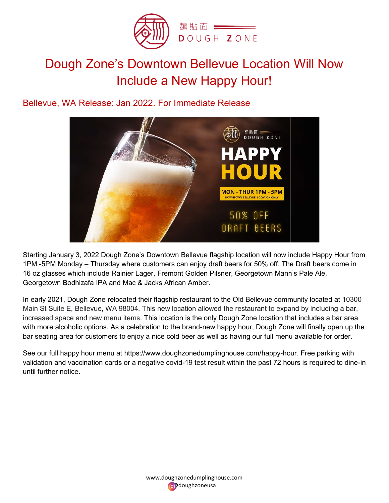

# Dough Zone's Downtown Bellevue Location Will Now Include a New Happy Hour!

Bellevue, WA Release: Jan 2022 Bellevue, 2022. For Immediate Release



Starting January 3, 2022 Dough Zone's Downtown Bellevue flagship location will now include Happy Hour from Starting January 3, 2022 Dough Zone's Downtown Bellevue flagship location will now include Happy Hour fro<br>1PM -5PM Monday – Thursday where customers can enjoy draft beers for 50% off. The Draft beers come in 16 oz glasses which include Rainier Lager, Fremont Golden Pilsner, Georgetown Mann's Pale Ale, Georgetown Bodhizafa IPA and Mac & Jacks African Amber. 16 oz glasses which include Rainier Lager, Fremont Golden Pilsner, Georgetown Mann's Pale Ale,<br>Georgetown Bodhizafa IPA and Mac & Jacks African Amber.<br>In early 2021, Dough Zone relocated their flagship restaurant to the Ol

Main St Suite E, Bellevue, WA 98004. This new location allowed the restaurant to expand by including a bar, Main St Suite E, Bellevue, WA 98004. This new location allowed the restaurant to expand by including a bar,<br>increased space and new menu items. This location is the only Dough Zone location that includes a bar area with more alcoholic options. As a celebration to the brand-new happy hour, Dough Zone will finally open up the<br>bar seating area for customers to enjoy a nice cold beer as well as having our full menu available for order.<br>S bar seating area for customers to enjoy a nice cold beer as well as having our full menu available for order.

bar seating area for customers to enjoy a nice cold beer as well as having our full menu a<br>See our full happy hour menu at https://www.doughzonedumplinghouse.com/happy-hour. validation and vaccination cards or a negative covid-19 test result within the past 72 hours is required to dine-in until further notice.